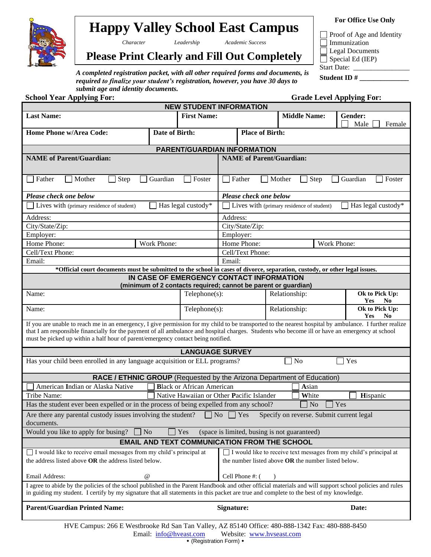

# **Happy Valley School East Campus**

*Character Leadership Academic Success*

Proof of Age and Identity **Immunization Legal Documents**  $\Box$  Special Ed (IEP) Start Date: \_\_\_\_\_\_\_\_\_\_\_\_\_\_\_\_

**For Office Use Only**

## **Please Print Clearly and Fill Out Completely**

*A completed registration packet, with all other required forms and documents, is required to finalize your student's registration, however, you have 30 days to submit age and identity documents.*<br> **chool Vear Applying For:** 

| submit age and identity documents.<br><b>School Year Applying For:</b>                                                                                                                                                                                                                                                                                                                         |                                                                                                                                                                                                                                                           |                                           |                |                        |                                                                        | <b>Grade Level Applying For:</b>               |
|------------------------------------------------------------------------------------------------------------------------------------------------------------------------------------------------------------------------------------------------------------------------------------------------------------------------------------------------------------------------------------------------|-----------------------------------------------------------------------------------------------------------------------------------------------------------------------------------------------------------------------------------------------------------|-------------------------------------------|----------------|------------------------|------------------------------------------------------------------------|------------------------------------------------|
|                                                                                                                                                                                                                                                                                                                                                                                                |                                                                                                                                                                                                                                                           | <b>NEW STUDENT INFORMATION</b>            |                |                        |                                                                        |                                                |
| <b>Last Name:</b>                                                                                                                                                                                                                                                                                                                                                                              |                                                                                                                                                                                                                                                           | <b>First Name:</b>                        |                |                        | <b>Middle Name:</b>                                                    | Gender:<br>Male<br>Female                      |
| Home Phone w/Area Code:                                                                                                                                                                                                                                                                                                                                                                        | Date of Birth:                                                                                                                                                                                                                                            |                                           |                | <b>Place of Birth:</b> |                                                                        |                                                |
|                                                                                                                                                                                                                                                                                                                                                                                                |                                                                                                                                                                                                                                                           | <b>PARENT/GUARDIAN INFORMATION</b>        |                |                        |                                                                        |                                                |
| <b>NAME</b> of Parent/Guardian:                                                                                                                                                                                                                                                                                                                                                                |                                                                                                                                                                                                                                                           |                                           |                |                        | <b>NAME</b> of Parent/Guardian:                                        |                                                |
| $\Box$ Step<br>Father<br>Mother<br>$\mathbf{L}$                                                                                                                                                                                                                                                                                                                                                | Guardian                                                                                                                                                                                                                                                  | Foster                                    |                | $\Box$ Father          | Mother<br>$\exists$ Step                                               | Guardian<br>Foster                             |
| Please check one below                                                                                                                                                                                                                                                                                                                                                                         |                                                                                                                                                                                                                                                           |                                           |                | Please check one below |                                                                        |                                                |
| Lives with (primary residence of student)                                                                                                                                                                                                                                                                                                                                                      |                                                                                                                                                                                                                                                           | $\Box$ Has legal custody*                 |                |                        | Lives with (primary residence of student)                              | Has legal custody*                             |
| Address:                                                                                                                                                                                                                                                                                                                                                                                       |                                                                                                                                                                                                                                                           |                                           | Address:       |                        |                                                                        |                                                |
| City/State/Zip:                                                                                                                                                                                                                                                                                                                                                                                |                                                                                                                                                                                                                                                           |                                           |                | City/State/Zip:        |                                                                        |                                                |
| Employer:                                                                                                                                                                                                                                                                                                                                                                                      |                                                                                                                                                                                                                                                           |                                           | Employer:      |                        |                                                                        |                                                |
| Home Phone:                                                                                                                                                                                                                                                                                                                                                                                    | Work Phone:                                                                                                                                                                                                                                               |                                           |                | Home Phone:            |                                                                        | Work Phone:                                    |
| Cell/Text Phone:                                                                                                                                                                                                                                                                                                                                                                               |                                                                                                                                                                                                                                                           |                                           |                | Cell/Text Phone:       |                                                                        |                                                |
| Email:                                                                                                                                                                                                                                                                                                                                                                                         |                                                                                                                                                                                                                                                           |                                           | Email:         |                        |                                                                        |                                                |
| *Official court documents must be submitted to the school in cases of divorce, separation, custody, or other legal issues.                                                                                                                                                                                                                                                                     |                                                                                                                                                                                                                                                           |                                           |                |                        |                                                                        |                                                |
|                                                                                                                                                                                                                                                                                                                                                                                                |                                                                                                                                                                                                                                                           | IN CASE OF EMERGENCY CONTACT INFORMATION  |                |                        | (minimum of 2 contacts required; cannot be parent or guardian)         |                                                |
| Name:                                                                                                                                                                                                                                                                                                                                                                                          |                                                                                                                                                                                                                                                           | Telephone(s):                             |                |                        | Relationship:                                                          | Ok to Pick Up:<br><b>Yes</b><br>N <sub>0</sub> |
| Ok to Pick Up:<br>Name:<br>Telephone(s):<br>Relationship:<br>Yes<br>N <sub>0</sub>                                                                                                                                                                                                                                                                                                             |                                                                                                                                                                                                                                                           |                                           |                |                        |                                                                        |                                                |
| If you are unable to reach me in an emergency, I give permission for my child to be transported to the nearest hospital by ambulance. I further realize<br>that I am responsible financially for the payment of all ambulance and hospital charges. Students who become ill or have an emergency at school<br>must be picked up within a half hour of parent/emergency contact being notified. |                                                                                                                                                                                                                                                           |                                           |                |                        |                                                                        |                                                |
|                                                                                                                                                                                                                                                                                                                                                                                                |                                                                                                                                                                                                                                                           | <b>LANGUAGE SURVEY</b>                    |                |                        |                                                                        |                                                |
| Has your child been enrolled in any language acquisition or ELL programs?                                                                                                                                                                                                                                                                                                                      |                                                                                                                                                                                                                                                           |                                           |                |                        | N <sub>o</sub>                                                         | Yes                                            |
|                                                                                                                                                                                                                                                                                                                                                                                                |                                                                                                                                                                                                                                                           |                                           |                |                        | RACE / ETHNIC GROUP (Requested by the Arizona Department of Education) |                                                |
| American Indian or Alaska Native                                                                                                                                                                                                                                                                                                                                                               |                                                                                                                                                                                                                                                           | <b>Black or African American</b>          |                |                        | Asian                                                                  |                                                |
| Tribe Name:                                                                                                                                                                                                                                                                                                                                                                                    |                                                                                                                                                                                                                                                           | Native Hawaiian or Other Pacific Islander |                |                        | White                                                                  | Hispanic                                       |
| Has the student ever been expelled or in the process of being expelled from any school?                                                                                                                                                                                                                                                                                                        |                                                                                                                                                                                                                                                           |                                           |                |                        | $\Box$ No<br>$\Box$ Yes                                                |                                                |
| Are there any parental custody issues involving the student?<br>documents.                                                                                                                                                                                                                                                                                                                     |                                                                                                                                                                                                                                                           |                                           | N <sub>o</sub> | Yes                    | Specify on reverse. Submit current legal                               |                                                |
| Yes<br>Would you like to apply for busing?<br>$\exists$ No<br>(space is limited, busing is not guaranteed)                                                                                                                                                                                                                                                                                     |                                                                                                                                                                                                                                                           |                                           |                |                        |                                                                        |                                                |
| <b>EMAIL AND TEXT COMMUNICATION FROM THE SCHOOL</b>                                                                                                                                                                                                                                                                                                                                            |                                                                                                                                                                                                                                                           |                                           |                |                        |                                                                        |                                                |
|                                                                                                                                                                                                                                                                                                                                                                                                | I would like to receive email messages from my child's principal at<br>I would like to receive text messages from my child's principal at<br>the address listed above OR the address listed below.<br>the number listed above OR the number listed below. |                                           |                |                        |                                                                        |                                                |
| Email Address:<br>@                                                                                                                                                                                                                                                                                                                                                                            |                                                                                                                                                                                                                                                           |                                           |                | Cell Phone #: (        |                                                                        |                                                |
| I agree to abide by the policies of the school published in the Parent Handbook and other official materials and will support school policies and rules<br>in guiding my student. I certify by my signature that all statements in this packet are true and complete to the best of my knowledge.                                                                                              |                                                                                                                                                                                                                                                           |                                           |                |                        |                                                                        |                                                |
| <b>Parent/Guardian Printed Name:</b>                                                                                                                                                                                                                                                                                                                                                           | Signature:<br>Date:                                                                                                                                                                                                                                       |                                           |                |                        |                                                                        |                                                |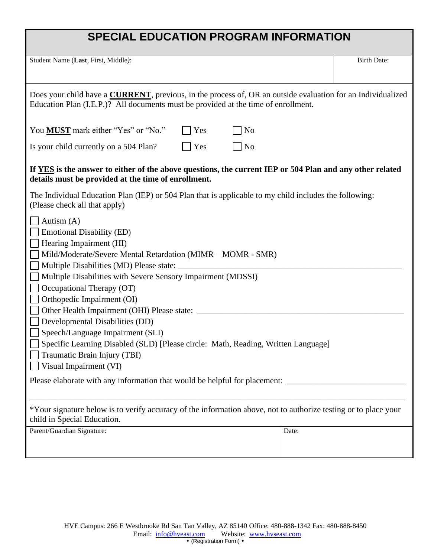# **SPECIAL EDUCATION PROGRAM INFORMATION**

Student Name (Last, First, Middle):

| Does your child have a <b>CURRENT</b> , previous, in the process of, OR an outside evaluation for an Individualized<br>Education Plan (I.E.P.)? All documents must be provided at the time of enrollment.                                                                                                                                                                                                                                                                                                                                                                                                                                                                      |     |                |       |  |
|--------------------------------------------------------------------------------------------------------------------------------------------------------------------------------------------------------------------------------------------------------------------------------------------------------------------------------------------------------------------------------------------------------------------------------------------------------------------------------------------------------------------------------------------------------------------------------------------------------------------------------------------------------------------------------|-----|----------------|-------|--|
| You <b>MUST</b> mark either "Yes" or "No."                                                                                                                                                                                                                                                                                                                                                                                                                                                                                                                                                                                                                                     | Yes | N <sub>o</sub> |       |  |
| Is your child currently on a 504 Plan?                                                                                                                                                                                                                                                                                                                                                                                                                                                                                                                                                                                                                                         | Yes | N <sub>o</sub> |       |  |
| If YES is the answer to either of the above questions, the current IEP or 504 Plan and any other related<br>details must be provided at the time of enrollment.                                                                                                                                                                                                                                                                                                                                                                                                                                                                                                                |     |                |       |  |
| The Individual Education Plan (IEP) or 504 Plan that is applicable to my child includes the following:<br>(Please check all that apply)                                                                                                                                                                                                                                                                                                                                                                                                                                                                                                                                        |     |                |       |  |
| Autism $(A)$<br><b>Emotional Disability (ED)</b><br>Hearing Impairment (HI)<br>Mild/Moderate/Severe Mental Retardation (MIMR - MOMR - SMR)<br>Multiple Disabilities (MD) Please state: ____<br>Multiple Disabilities with Severe Sensory Impairment (MDSSI)<br>Occupational Therapy (OT)<br>Orthopedic Impairment (OI)<br>Other Health Impairment (OHI) Please state: ____<br>Developmental Disabilities (DD)<br>Speech/Language Impairment (SLI)<br>Specific Learning Disabled (SLD) [Please circle: Math, Reading, Written Language]<br>Traumatic Brain Injury (TBI)<br>Visual Impairment (VI)<br>Please elaborate with any information that would be helpful for placement: |     |                |       |  |
| *Your signature below is to verify accuracy of the information above, not to authorize testing or to place your                                                                                                                                                                                                                                                                                                                                                                                                                                                                                                                                                                |     |                |       |  |
| child in Special Education.<br>Parent/Guardian Signature:                                                                                                                                                                                                                                                                                                                                                                                                                                                                                                                                                                                                                      |     |                | Date: |  |
|                                                                                                                                                                                                                                                                                                                                                                                                                                                                                                                                                                                                                                                                                |     |                |       |  |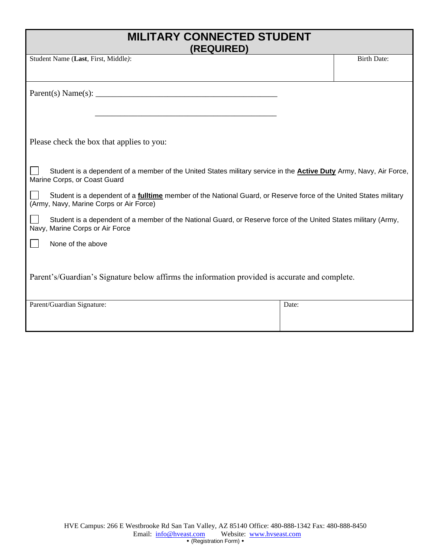## **MILITARY CONNECTED STUDENT (REQUIRED)**

Student Name (Last, First, Middle): Birth Date:

 $Parent(s) Name(s): \_$ 

Please check the box that applies to you:

 $\overline{\phantom{a}}$  ,  $\overline{\phantom{a}}$  ,  $\overline{\phantom{a}}$  ,  $\overline{\phantom{a}}$  ,  $\overline{\phantom{a}}$  ,  $\overline{\phantom{a}}$  ,  $\overline{\phantom{a}}$  ,  $\overline{\phantom{a}}$  ,  $\overline{\phantom{a}}$  ,  $\overline{\phantom{a}}$  ,  $\overline{\phantom{a}}$  ,  $\overline{\phantom{a}}$  ,  $\overline{\phantom{a}}$  ,  $\overline{\phantom{a}}$  ,  $\overline{\phantom{a}}$  ,  $\overline{\phantom{a}}$ 

| Student is a dependent of a member of the United States military service in the <b>Active Duty</b> Army, Navy, Air Force, |  |  |
|---------------------------------------------------------------------------------------------------------------------------|--|--|
| Marine Corps, or Coast Guard                                                                                              |  |  |

 Student is a dependent of a **fulltime** member of the National Guard, or Reserve force of the United States military (Army, Navy, Marine Corps or Air Force)

 Student is a dependent of a member of the National Guard, or Reserve force of the United States military (Army, Navy, Marine Corps or Air Force

None of the above

Parent's/Guardian's Signature below affirms the information provided is accurate and complete.

| Parent/Guardian Signature: | Date: |
|----------------------------|-------|
|                            |       |
|                            |       |
|                            |       |
|                            |       |
|                            |       |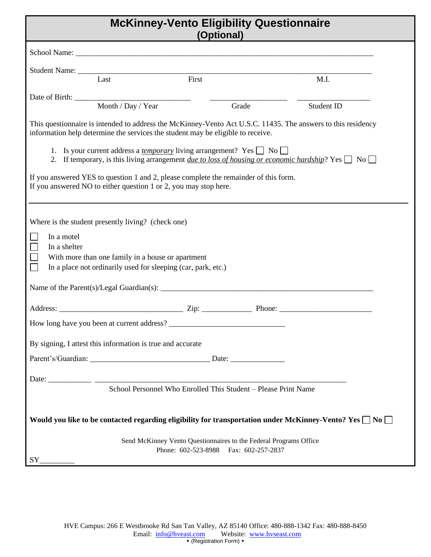# **McKinney-Vento Eligibility Questionnaire**

|                            |                                                                                                                                                                           | (Optional)                                                                                                 |                                                                                                                       |
|----------------------------|---------------------------------------------------------------------------------------------------------------------------------------------------------------------------|------------------------------------------------------------------------------------------------------------|-----------------------------------------------------------------------------------------------------------------------|
|                            |                                                                                                                                                                           |                                                                                                            |                                                                                                                       |
|                            | Student Name: Last First First                                                                                                                                            |                                                                                                            |                                                                                                                       |
|                            |                                                                                                                                                                           |                                                                                                            | M.I.                                                                                                                  |
|                            | Month / Day / Year                                                                                                                                                        | Grade                                                                                                      | Student ID                                                                                                            |
|                            | information help determine the services the student may be eligible to receive.<br>1. Is your current address a <i>temporary</i> living arrangement? Yes $\Box$ No $\Box$ |                                                                                                            | This questionnaire is intended to address the McKinney-Vento Act U.S.C. 11435. The answers to this residency          |
|                            | If you answered YES to question 1 and 2, please complete the remainder of this form.<br>If you answered NO to either question 1 or 2, you may stop here.                  |                                                                                                            | 2. If temporary, is this living arrangement <i>due to loss of housing or economic hardship</i> ? Yes $\Box$ No $\Box$ |
| In a motel<br>In a shelter | Where is the student presently living? (check one)<br>With more than one family in a house or apartment<br>In a place not ordinarily used for sleeping (car, park, etc.)  |                                                                                                            |                                                                                                                       |
|                            |                                                                                                                                                                           |                                                                                                            |                                                                                                                       |
|                            |                                                                                                                                                                           |                                                                                                            |                                                                                                                       |
|                            | By signing, I attest this information is true and accurate                                                                                                                |                                                                                                            |                                                                                                                       |
|                            |                                                                                                                                                                           |                                                                                                            |                                                                                                                       |
|                            | School Personnel Who Enrolled This Student - Please Print Name                                                                                                            |                                                                                                            |                                                                                                                       |
|                            |                                                                                                                                                                           |                                                                                                            | Would you like to be contacted regarding eligibility for transportation under McKinney-Vento? Yes $\Box$ No $\Box$    |
|                            |                                                                                                                                                                           | Send McKinney Vento Questionnaires to the Federal Programs Office<br>Phone: 602-523-8988 Fax: 602-257-2837 |                                                                                                                       |
| SY                         |                                                                                                                                                                           |                                                                                                            |                                                                                                                       |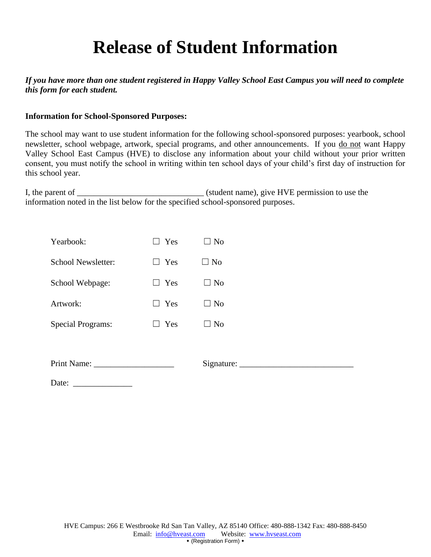# **Release of Student Information**

#### *If you have more than one student registered in Happy Valley School East Campus you will need to complete this form for each student.*

#### **Information for School-Sponsored Purposes:**

The school may want to use student information for the following school-sponsored purposes: yearbook, school newsletter, school webpage, artwork, special programs, and other announcements. If you do not want Happy Valley School East Campus (HVE) to disclose any information about your child without your prior written consent, you must notify the school in writing within ten school days of your child's first day of instruction for this school year.

I, the parent of \_\_\_\_\_\_\_\_\_\_\_\_\_\_\_\_\_\_\_\_\_\_\_\_\_\_\_\_\_\_ (student name), give HVE permission to use the information noted in the list below for the specified school-sponsored purposes.

| Yearbook:                | l Yes      | No        |
|--------------------------|------------|-----------|
| School Newsletter:       | ∣∣ Yes     | $\Box$ No |
| School Webpage:          | l l Yes    | $\Box$ No |
| Artwork:                 | $\Box$ Yes | $\Box$ No |
| <b>Special Programs:</b> | Yes        | No        |
|                          |            |           |

| Print Name: |  |  |
|-------------|--|--|
|-------------|--|--|

Print Name: \_\_\_\_\_\_\_\_\_\_\_\_\_\_\_\_\_\_\_ Signature: \_\_\_\_\_\_\_\_\_\_\_\_\_\_\_\_\_\_\_\_\_\_\_\_\_\_\_

Date: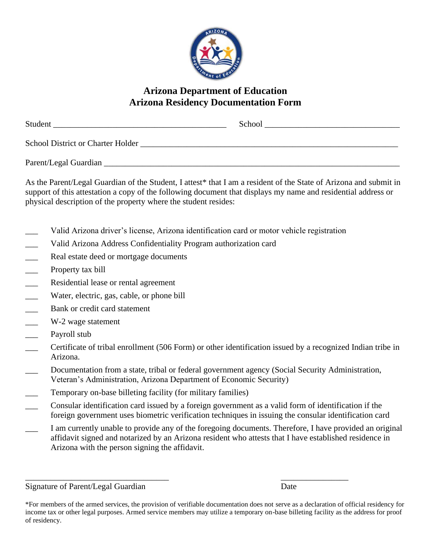

### **Arizona Department of Education Arizona Residency Documentation Form**

| Student                                  | School |
|------------------------------------------|--------|
| <b>School District or Charter Holder</b> |        |
| Parent/Legal Guardian                    |        |

As the Parent/Legal Guardian of the Student, I attest\* that I am a resident of the State of Arizona and submit in support of this attestation a copy of the following document that displays my name and residential address or physical description of the property where the student resides:

- Valid Arizona driver's license, Arizona identification card or motor vehicle registration
- Valid Arizona Address Confidentiality Program authorization card
- **EXECUTE:** Real estate deed or mortgage documents
- \_\_\_ Property tax bill
- Residential lease or rental agreement
- Water, electric, gas, cable, or phone bill
- **EXECUTE:** Bank or credit card statement
- \_\_\_ W-2 wage statement
- \_\_\_ Payroll stub
- \_\_\_ Certificate of tribal enrollment (506 Form) or other identification issued by a recognized Indian tribe in Arizona.
- Documentation from a state, tribal or federal government agency (Social Security Administration, Veteran's Administration, Arizona Department of Economic Security)
- Temporary on-base billeting facility (for military families)
- \_\_\_ Consular identification card issued by a foreign government as a valid form of identification if the foreign government uses biometric verification techniques in issuing the consular identification card

\_\_\_\_\_\_\_\_\_\_\_\_\_\_\_\_\_\_\_\_\_\_\_\_\_\_\_\_\_\_\_\_\_\_ \_\_\_\_\_\_\_\_\_\_\_\_\_\_\_\_

\_\_\_ I am currently unable to provide any of the foregoing documents. Therefore, I have provided an original affidavit signed and notarized by an Arizona resident who attests that I have established residence in Arizona with the person signing the affidavit.

Signature of Parent/Legal Guardian Date

<sup>\*</sup>For members of the armed services, the provision of verifiable documentation does not serve as a declaration of official residency for income tax or other legal purposes. Armed service members may utilize a temporary on-base billeting facility as the address for proof of residency.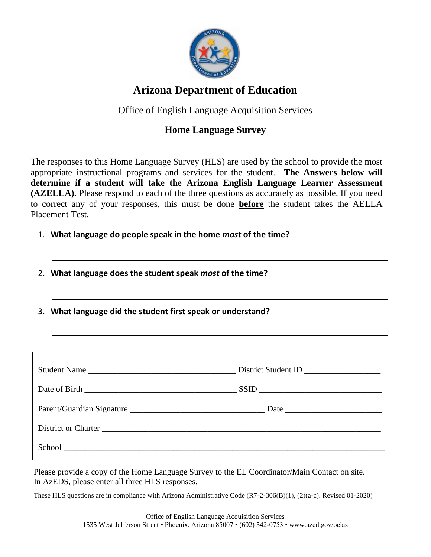

## **Arizona Department of Education**

Office of English Language Acquisition Services

### **Home Language Survey**

The responses to this Home Language Survey (HLS) are used by the school to provide the most appropriate instructional programs and services for the student. **The Answers below will determine if a student will take the Arizona English Language Learner Assessment (AZELLA).** Please respond to each of the three questions as accurately as possible. If you need to correct any of your responses, this must be done **before** the student takes the AELLA Placement Test.

- 1. **What language do people speak in the home** *most* **of the time?**
- 2. **What language does the student speak** *most* **of the time?**
- 3. **What language did the student first speak or understand?**

| School experience and the second second second second second second second second second second second second second second second second second second second second second second second second second second second second |  |
|-------------------------------------------------------------------------------------------------------------------------------------------------------------------------------------------------------------------------------|--|

Please provide a copy of the Home Language Survey to the EL Coordinator/Main Contact on site. In AzEDS, please enter all three HLS responses.

These HLS questions are in compliance with Arizona Administrative Code (R7-2-306(B)(1), (2)(a-c). Revised 01-2020)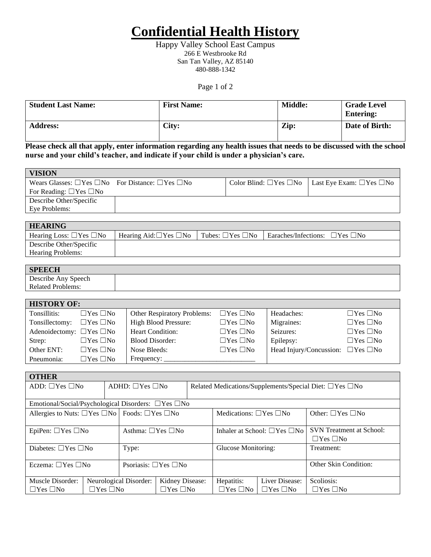# **Confidential Health History**

Happy Valley School East Campus 266 E Westbrooke Rd San Tan Valley, AZ 85140 480-888-1342

Page 1 of 2

| <b>Student Last Name:</b> | <b>First Name:</b> | <b>Middle:</b> | <b>Grade Level</b><br><b>Entering:</b> |
|---------------------------|--------------------|----------------|----------------------------------------|
| <b>Address:</b>           | City:              | Zip:           | Date of Birth:                         |

Please check all that apply, enter information regarding any health issues that needs to be discussed with the school **nurse and your child's teacher, and indicate if your child is under a physician's care.** 

| <b>VISION</b>                                                          |  |                                                                         |
|------------------------------------------------------------------------|--|-------------------------------------------------------------------------|
| Wears Glasses: $\Box$ Yes $\Box$ No For Distance: $\Box$ Yes $\Box$ No |  | Color Blind: $\Box$ Yes $\Box$ No   Last Eye Exam: $\Box$ Yes $\Box$ No |
| For Reading: $\Box$ Yes $\Box$ No                                      |  |                                                                         |
| Describe Other/Specific                                                |  |                                                                         |
| Eye Problems:                                                          |  |                                                                         |

| <b>HEARING</b>                     |                                          |                                                                         |  |
|------------------------------------|------------------------------------------|-------------------------------------------------------------------------|--|
| Hearing Loss: $\Box$ Yes $\Box$ No | Hearing Aid: $\Box$ Yes $\Box$ No $\Box$ | Tubes: $\Box$ Yes $\Box$ No   Earaches/Infections: $\Box$ Yes $\Box$ No |  |
| Describe Other/Specific            |                                          |                                                                         |  |
| <b>Hearing Problems:</b>           |                                          |                                                                         |  |

| <b>SPEECH</b>            |  |
|--------------------------|--|
| Describe Any Speech      |  |
| <b>Related Problems:</b> |  |

| <b>HISTORY OF:</b>                  |                      |                                    |                      |                                              |                      |
|-------------------------------------|----------------------|------------------------------------|----------------------|----------------------------------------------|----------------------|
| Tonsillitis:                        | $\Box$ Yes $\Box$ No | <b>Other Respiratory Problems:</b> | $\Box$ Yes $\Box$ No | Headaches:                                   | $\Box$ Yes $\Box$ No |
| Tonsillectomy:                      | $\Box$ Yes $\Box$ No | <b>High Blood Pressure:</b>        | $\Box$ Yes $\Box$ No | Migraines:                                   | $\Box$ Yes $\Box$ No |
| Adenoidectomy: $\Box$ Yes $\Box$ No |                      | Heart Condition:                   | $\Box$ Yes $\Box$ No | Seizures:                                    | $\Box$ Yes $\Box$ No |
| Strep:                              | $\Box$ Yes $\Box$ No | <b>Blood Disorder:</b>             | $\Box$ Yes $\Box$ No | Epilepsy:                                    | $\Box$ Yes $\Box$ No |
| Other ENT:                          | $\Box$ Yes $\Box$ No | Nose Bleeds:                       | $\Box$ Yes $\Box$ No | Head Injury/Concussion: $\Box$ Yes $\Box$ No |                      |
| Pneumonia:                          | $\Box$ Yes $\Box$ No | Frequency:                         |                      |                                              |                      |

| <b>OTHER</b>                                                          |                            |                                 |                                                                    |                                         |                      |                                                         |                      |
|-----------------------------------------------------------------------|----------------------------|---------------------------------|--------------------------------------------------------------------|-----------------------------------------|----------------------|---------------------------------------------------------|----------------------|
| ADD: $\Box$ Yes $\Box$ No                                             | ADHD: $\Box$ Yes $\Box$ No |                                 | Related Medications/Supplements/Special Diet: $\Box$ Yes $\Box$ No |                                         |                      |                                                         |                      |
| Emotional/Social/Psychological Disorders: □Yes □No                    |                            |                                 |                                                                    |                                         |                      |                                                         |                      |
|                                                                       |                            |                                 |                                                                    |                                         |                      |                                                         |                      |
| Allergies to Nuts: $\Box$ Yes $\Box$ No   Foods: $\Box$ Yes $\Box$ No |                            |                                 |                                                                    | Medications: $\Box$ Yes $\Box$ No       |                      | Other: $\Box$ Yes $\Box$ No                             |                      |
| EpiPen: $\Box$ Yes $\Box$ No                                          |                            | Asthma: □Yes □No                |                                                                    | Inhaler at School: $\Box$ Yes $\Box$ No |                      | <b>SVN</b> Treatment at School:<br>$\Box$ Yes $\Box$ No |                      |
| Diabetes: $\Box$ Yes $\Box$ No                                        |                            | Type:                           |                                                                    | Glucose Monitoring:                     |                      | Treatment:                                              |                      |
| Eczema: $\Box$ Yes $\Box$ No                                          |                            | Psoriasis: $\Box$ Yes $\Box$ No |                                                                    |                                         |                      | Other Skin Condition:                                   |                      |
| Muscle Disorder:                                                      |                            | Neurological Disorder:          | Kidney Disease:                                                    |                                         | Hepatitis:           | Liver Disease:                                          | Scoliosis:           |
| $\Box$ Yes $\Box$ No<br>$\Box$ Yes $\Box$ No                          |                            |                                 | $\Box$ Yes $\Box$ No                                               |                                         | $\Box$ Yes $\Box$ No | $\Box$ Yes $\Box$ No                                    | $\Box$ Yes $\Box$ No |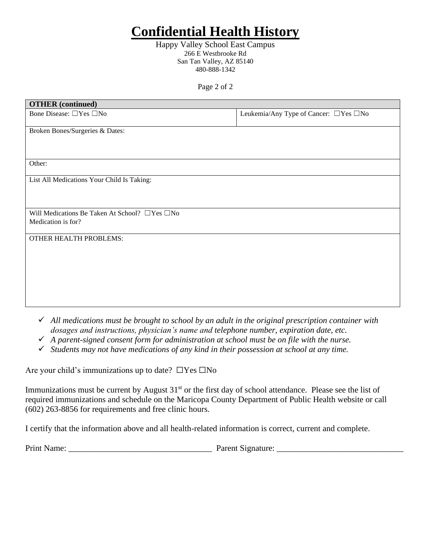# **Confidential Health History**

Happy Valley School East Campus 266 E Westbrooke Rd San Tan Valley, AZ 85140 480-888-1342

Page 2 of 2

| <b>OTHER</b> (continued)                                  |                                         |
|-----------------------------------------------------------|-----------------------------------------|
| Bone Disease: □Yes □No                                    | Leukemia/Any Type of Cancer: □ Yes □ No |
| Broken Bones/Surgeries & Dates:                           |                                         |
|                                                           |                                         |
| Other:                                                    |                                         |
| List All Medications Your Child Is Taking:                |                                         |
|                                                           |                                         |
| Will Medications Be Taken At School? $\Box$ Yes $\Box$ No |                                         |
| Medication is for?                                        |                                         |
| <b>OTHER HEALTH PROBLEMS:</b>                             |                                         |
|                                                           |                                         |
|                                                           |                                         |
|                                                           |                                         |
|                                                           |                                         |

- ✓ *All medications must be brought to school by an adult in the original prescription container with dosages and instructions, physician's name and telephone number, expiration date, etc.*
- ✓ *A parent-signed consent form for administration at school must be on file with the nurse.*
- ✓ *Students may not have medications of any kind in their possession at school at any time.*

Are your child's immunizations up to date?  $\square$  Yes  $\square$  No

Immunizations must be current by August 31<sup>st</sup> or the first day of school attendance. Please see the list of required immunizations and schedule on the Maricopa County Department of Public Health website or call (602) 263-8856 for requirements and free clinic hours.

I certify that the information above and all health-related information is correct, current and complete.

Print Name: \_\_\_\_\_\_\_\_\_\_\_\_\_\_\_\_\_\_\_\_\_\_\_\_\_\_\_\_\_\_\_\_\_\_ Parent Signature: \_\_\_\_\_\_\_\_\_\_\_\_\_\_\_\_\_\_\_\_\_\_\_\_\_\_\_\_\_\_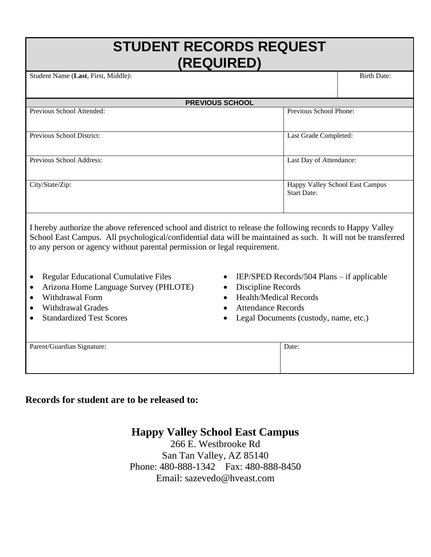# **STUDENT RECORDS REQUEST (REQUIRED)**

Student Name (**Last**, First, Middle*)*: Birth Date: **PREVIOUS SCHOOL** Previous School Attended: Previous School Phone: Previous School District: Last Grade Completed: Previous School Address: Last Day of Attendance: City/State/Zip: Happy Valley School East Campus Start Date:

I hereby authorize the above referenced school and district to release the following records to Happy Valley School East Campus. All psychological/confidential data will be maintained as such. It will not be transferred to any person or agency without parental permission or legal requirement.

- Regular Educational Cumulative Files
- Arizona Home Language Survey (PHLOTE)
- Withdrawal Form
- Withdrawal Grades
- Standardized Test Scores
- IEP/SPED Records/504 Plans if applicable
- Discipline Records
- Health/Medical Records
- Attendance Records
- Legal Documents (custody, name, etc.)

| Parent/Guardian Signature: | Date: |
|----------------------------|-------|
|                            |       |
|                            |       |
|                            |       |

**Records for student are to be released to:**

## **Happy Valley School East Campus**

266 E. Westbrooke Rd San Tan Valley, AZ 85140 Phone: 480-888-1342 Fax: 480-888-8450 Email: sazevedo@hveast.com